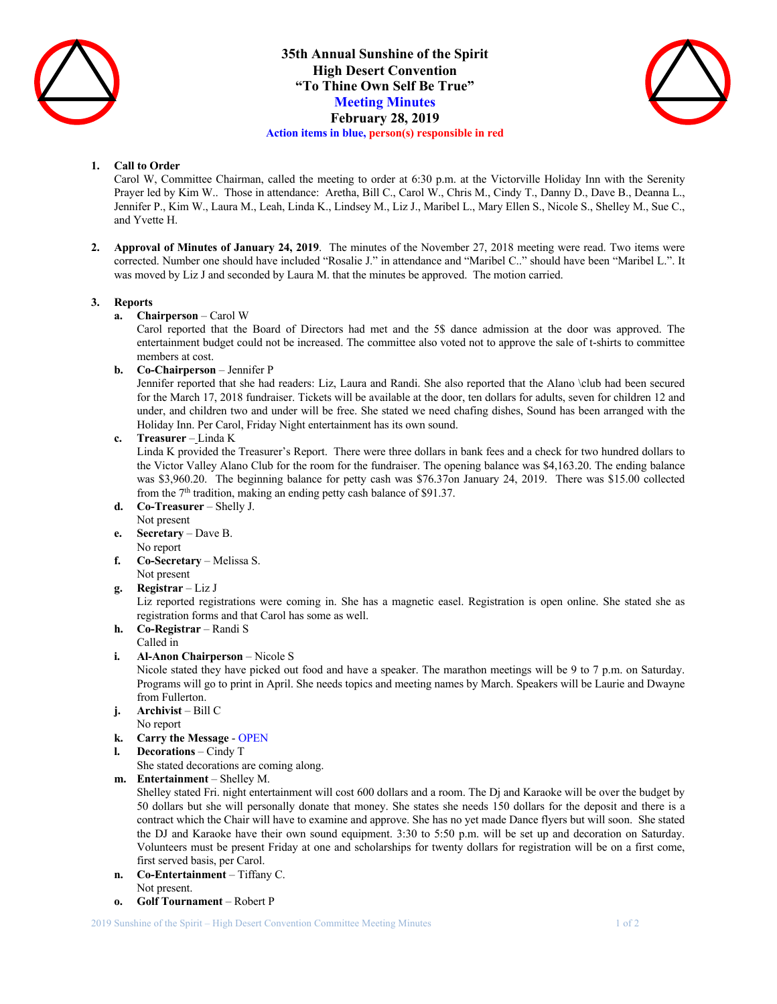

**35th Annual Sunshine of the Spirit High Desert Convention "To Thine Own Self Be True" Meeting Minutes February 28, 2019 Action items in blue, person(s) responsible in red**



## **1. Call to Order**

Carol W, Committee Chairman, called the meeting to order at 6:30 p.m. at the Victorville Holiday Inn with the Serenity Prayer led by Kim W.. Those in attendance: Aretha, Bill C., Carol W., Chris M., Cindy T., Danny D., Dave B., Deanna L., Jennifer P., Kim W., Laura M., Leah, Linda K., Lindsey M., Liz J., Maribel L., Mary Ellen S., Nicole S., Shelley M., Sue C., and Yvette H.

**2. Approval of Minutes of January 24, 2019**. The minutes of the November 27, 2018 meeting were read. Two items were corrected. Number one should have included "Rosalie J." in attendance and "Maribel C.." should have been "Maribel L.". It was moved by Liz J and seconded by Laura M. that the minutes be approved. The motion carried.

## **3. Reports**

**a. Chairperson** – Carol W

Carol reported that the Board of Directors had met and the 5\$ dance admission at the door was approved. The entertainment budget could not be increased. The committee also voted not to approve the sale of t-shirts to committee members at cost.

**b. Co-Chairperson** – Jennifer P

Jennifer reported that she had readers: Liz, Laura and Randi. She also reported that the Alano \club had been secured for the March 17, 2018 fundraiser. Tickets will be available at the door, ten dollars for adults, seven for children 12 and under, and children two and under will be free. She stated we need chafing dishes, Sound has been arranged with the Holiday Inn. Per Carol, Friday Night entertainment has its own sound.

**c. Treasurer** – Linda K

Linda K provided the Treasurer's Report. There were three dollars in bank fees and a check for two hundred dollars to the Victor Valley Alano Club for the room for the fundraiser. The opening balance was \$4,163.20. The ending balance was \$3,960.20. The beginning balance for petty cash was \$76.37on January 24, 2019. There was \$15.00 collected from the 7<sup>th</sup> tradition, making an ending petty cash balance of \$91.37.

- **d. Co-Treasurer** Shelly J. Not present
- **e. Secretary** Dave B. No report
- **f. Co-Secretary** Melissa S. Not present
- **g. Registrar** Liz J

Liz reported registrations were coming in. She has a magnetic easel. Registration is open online. She stated she as registration forms and that Carol has some as well.

- **h. Co-Registrar** Randi S
- Called in
- **i. Al-Anon Chairperson** Nicole S

Nicole stated they have picked out food and have a speaker. The marathon meetings will be 9 to 7 p.m. on Saturday. Programs will go to print in April. She needs topics and meeting names by March. Speakers will be Laurie and Dwayne from Fullerton.

- **j. Archivist** Bill C
- No report
- **k. Carry the Message** OPEN
- **l. Decorations** Cindy T
	- She stated decorations are coming along.
- **m. Entertainment** Shelley M.

Shelley stated Fri. night entertainment will cost 600 dollars and a room. The Dj and Karaoke will be over the budget by 50 dollars but she will personally donate that money. She states she needs 150 dollars for the deposit and there is a contract which the Chair will have to examine and approve. She has no yet made Dance flyers but will soon. She stated the DJ and Karaoke have their own sound equipment. 3:30 to 5:50 p.m. will be set up and decoration on Saturday. Volunteers must be present Friday at one and scholarships for twenty dollars for registration will be on a first come, first served basis, per Carol.

- **n. Co-Entertainment** Tiffany C. Not present.
- **o. Golf Tournament** Robert P